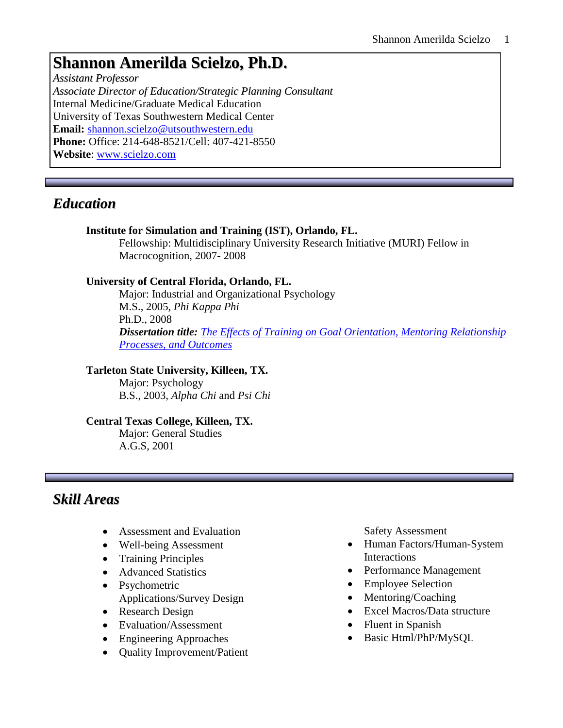# **Shannon Amerilda Scielzo, Ph.D.**

*Assistant Professor Associate Director of Education/Strategic Planning Consultant* Internal Medicine/Graduate Medical Education University of Texas Southwestern Medical Center **Email:** [shannon.scielzo@utsouthwestern.edu](mailto:shannon.scielzo@utsouthwestern.edu) **Phone:** Office: 214-648-8521/Cell: 407-421-8550 **Website**: [www.scielzo.com](http://www.scielzo.com/)

## *Education*

#### **Institute for Simulation and Training (IST), Orlando, FL.**

Fellowship: Multidisciplinary University Research Initiative (MURI) Fellow in Macrocognition, 2007- 2008

#### **University of Central Florida, Orlando, FL.**

Major: Industrial and Organizational Psychology M.S., 2005, *Phi Kappa Phi* Ph.D., 2008 *Dissertation title: [The Effects of Training on Goal Orientation, Mentoring Relationship](http://etd.fcla.edu/CF/CFE0002203/Scielzo_Shannon_A_200805_PhD.pdf)  [Processes, and Outcomes](http://etd.fcla.edu/CF/CFE0002203/Scielzo_Shannon_A_200805_PhD.pdf)*

#### **Tarleton State University, Killeen, TX.**

Major: Psychology B.S., 2003, *Alpha Chi* and *Psi Chi*

#### **Central Texas College, Killeen, TX.**

Major: General Studies A.G.S, 2001

# *Skill Areas*

- Assessment and Evaluation
- Well-being Assessment
- Training Principles
- Advanced Statistics
- Psychometric Applications/Survey Design
- Research Design
- Evaluation/Assessment
- Engineering Approaches
- Quality Improvement/Patient

Safety Assessment

- Human Factors/Human-System Interactions
- Performance Management
- Employee Selection
- Mentoring/Coaching
- Excel Macros/Data structure
- Fluent in Spanish
- Basic Html/PhP/MySQL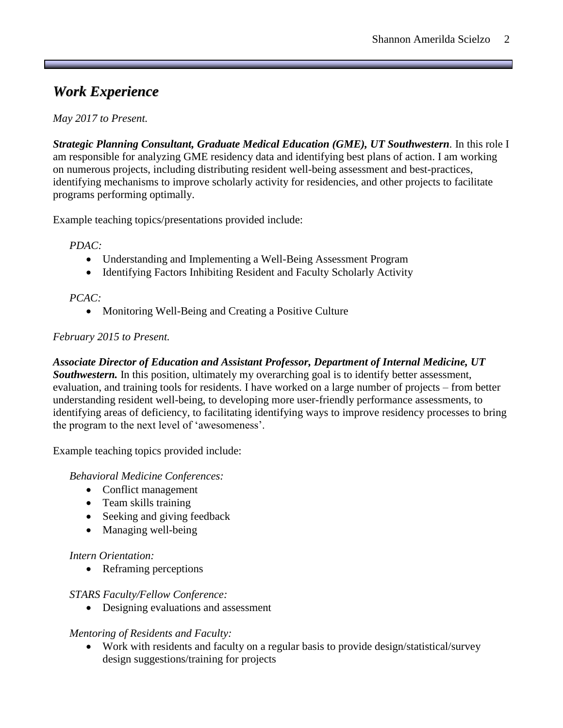# *Work Experience*

#### *May 2017 to Present.*

*Strategic Planning Consultant, Graduate Medical Education (GME), UT Southwestern.* In this role I am responsible for analyzing GME residency data and identifying best plans of action. I am working on numerous projects, including distributing resident well-being assessment and best-practices, identifying mechanisms to improve scholarly activity for residencies, and other projects to facilitate programs performing optimally.

Example teaching topics/presentations provided include:

*PDAC:*

- Understanding and Implementing a Well-Being Assessment Program
- Identifying Factors Inhibiting Resident and Faculty Scholarly Activity

## *PCAC:*

• Monitoring Well-Being and Creating a Positive Culture

### *February 2015 to Present.*

*Associate Director of Education and Assistant Professor, Department of Internal Medicine, UT Southwestern.* In this position, ultimately my overarching goal is to identify better assessment, evaluation, and training tools for residents. I have worked on a large number of projects – from better understanding resident well-being, to developing more user-friendly performance assessments, to identifying areas of deficiency, to facilitating identifying ways to improve residency processes to bring the program to the next level of 'awesomeness'.

Example teaching topics provided include:

*Behavioral Medicine Conferences:* 

- Conflict management
- Team skills training
- Seeking and giving feedback
- Managing well-being

#### *Intern Orientation:*

• Reframing perceptions

#### *STARS Faculty/Fellow Conference:*

• Designing evaluations and assessment

#### *Mentoring of Residents and Faculty:*

 Work with residents and faculty on a regular basis to provide design/statistical/survey design suggestions/training for projects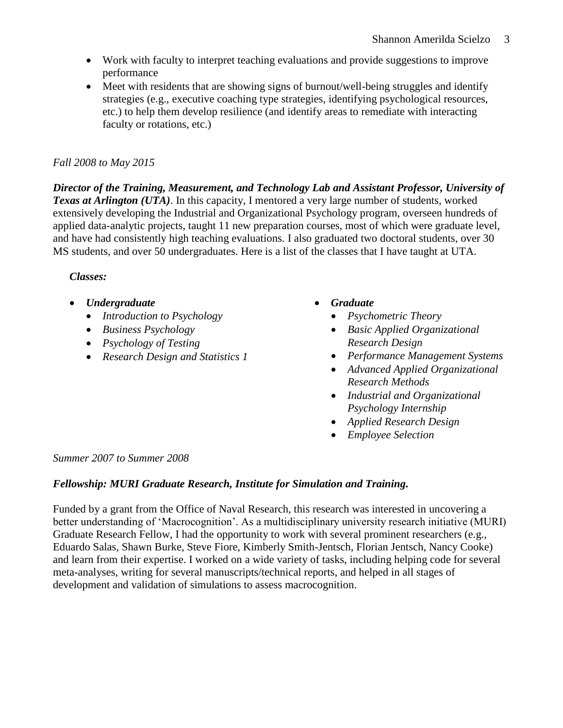- Work with faculty to interpret teaching evaluations and provide suggestions to improve performance
- Meet with residents that are showing signs of burnout/well-being struggles and identify strategies (e.g., executive coaching type strategies, identifying psychological resources, etc.) to help them develop resilience (and identify areas to remediate with interacting faculty or rotations, etc.)

#### *Fall 2008 to May 2015*

*Director of the Training, Measurement, and Technology Lab and Assistant Professor, University of Texas at Arlington (UTA)*. In this capacity, I mentored a very large number of students, worked extensively developing the Industrial and Organizational Psychology program, overseen hundreds of applied data-analytic projects, taught 11 new preparation courses, most of which were graduate level, and have had consistently high teaching evaluations. I also graduated two doctoral students, over 30 MS students, and over 50 undergraduates. Here is a list of the classes that I have taught at UTA.

#### *Classes:*

- *Undergraduate*
	- *Introduction to Psychology*
	- *Business Psychology*
	- *Psychology of Testing*
	- *Research Design and Statistics 1*
- *Graduate*
	- *Psychometric Theory*
	- *Basic Applied Organizational Research Design*
	- *Performance Management Systems*
	- *Advanced Applied Organizational Research Methods*
	- *Industrial and Organizational Psychology Internship*
	- *Applied Research Design*
	- *Employee Selection*

*Summer 2007 to Summer 2008*

### *Fellowship: MURI Graduate Research, Institute for Simulation and Training.*

Funded by a grant from the Office of Naval Research, this research was interested in uncovering a better understanding of 'Macrocognition'. As a multidisciplinary university research initiative (MURI) Graduate Research Fellow, I had the opportunity to work with several prominent researchers (e.g., Eduardo Salas, Shawn Burke, Steve Fiore, Kimberly Smith-Jentsch, Florian Jentsch, Nancy Cooke) and learn from their expertise. I worked on a wide variety of tasks, including helping code for several meta-analyses, writing for several manuscripts/technical reports, and helped in all stages of development and validation of simulations to assess macrocognition.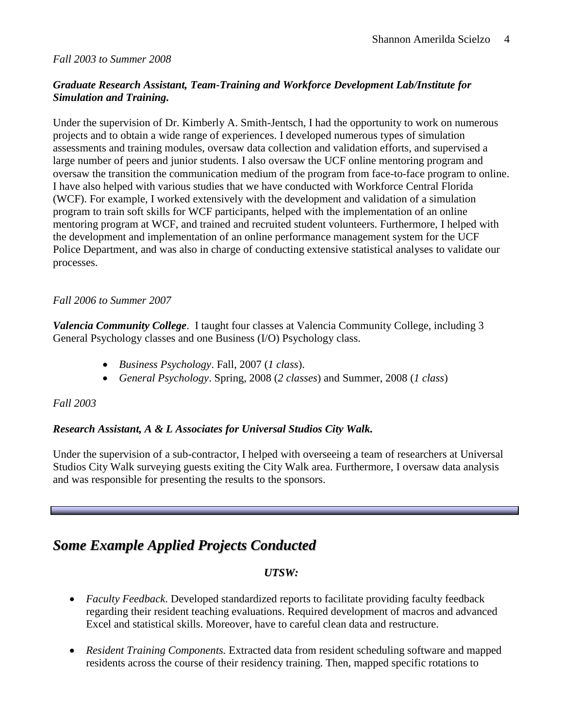#### *Fall 2003 to Summer 2008*

#### *Graduate Research Assistant, Team-Training and Workforce Development Lab/Institute for Simulation and Training.*

Under the supervision of Dr. Kimberly A. Smith-Jentsch, I had the opportunity to work on numerous projects and to obtain a wide range of experiences. I developed numerous types of simulation assessments and training modules, oversaw data collection and validation efforts, and supervised a large number of peers and junior students. I also oversaw the UCF online mentoring program and oversaw the transition the communication medium of the program from face-to-face program to online. I have also helped with various studies that we have conducted with Workforce Central Florida (WCF). For example, I worked extensively with the development and validation of a simulation program to train soft skills for WCF participants, helped with the implementation of an online mentoring program at WCF, and trained and recruited student volunteers. Furthermore, I helped with the development and implementation of an online performance management system for the UCF Police Department, and was also in charge of conducting extensive statistical analyses to validate our processes.

#### *Fall 2006 to Summer 2007*

*Valencia Community College.* I taught four classes at Valencia Community College, including 3 General Psychology classes and one Business (I/O) Psychology class.

- *Business Psychology*. Fall, 2007 (*1 class*).
- *General Psychology*. Spring, 2008 (*2 classes*) and Summer, 2008 (*1 class*)

#### *Fall 2003*

#### *Research Assistant, A & L Associates for Universal Studios City Walk.*

Under the supervision of a sub-contractor, I helped with overseeing a team of researchers at Universal Studios City Walk surveying guests exiting the City Walk area. Furthermore, I oversaw data analysis and was responsible for presenting the results to the sponsors.

## *Some Example Applied Projects Conducted*

#### *UTSW:*

- *Faculty Feedback*. Developed standardized reports to facilitate providing faculty feedback regarding their resident teaching evaluations. Required development of macros and advanced Excel and statistical skills. Moreover, have to careful clean data and restructure.
- *Resident Training Components.* Extracted data from resident scheduling software and mapped residents across the course of their residency training. Then, mapped specific rotations to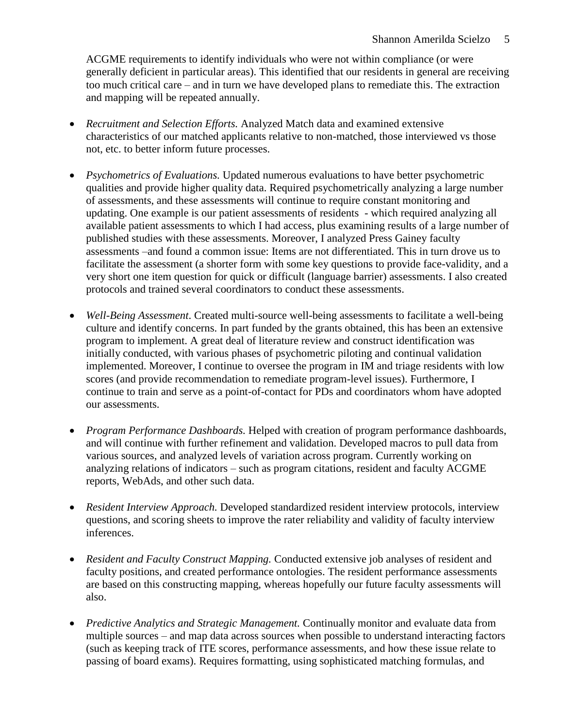ACGME requirements to identify individuals who were not within compliance (or were generally deficient in particular areas). This identified that our residents in general are receiving too much critical care – and in turn we have developed plans to remediate this. The extraction and mapping will be repeated annually.

- *Recruitment and Selection Efforts.* Analyzed Match data and examined extensive characteristics of our matched applicants relative to non-matched, those interviewed vs those not, etc. to better inform future processes.
- *Psychometrics of Evaluations.* Updated numerous evaluations to have better psychometric qualities and provide higher quality data. Required psychometrically analyzing a large number of assessments, and these assessments will continue to require constant monitoring and updating. One example is our patient assessments of residents - which required analyzing all available patient assessments to which I had access, plus examining results of a large number of published studies with these assessments. Moreover, I analyzed Press Gainey faculty assessments –and found a common issue: Items are not differentiated. This in turn drove us to facilitate the assessment (a shorter form with some key questions to provide face-validity, and a very short one item question for quick or difficult (language barrier) assessments. I also created protocols and trained several coordinators to conduct these assessments.
- *Well-Being Assessment*. Created multi-source well-being assessments to facilitate a well-being culture and identify concerns. In part funded by the grants obtained, this has been an extensive program to implement. A great deal of literature review and construct identification was initially conducted, with various phases of psychometric piloting and continual validation implemented. Moreover, I continue to oversee the program in IM and triage residents with low scores (and provide recommendation to remediate program-level issues). Furthermore, I continue to train and serve as a point-of-contact for PDs and coordinators whom have adopted our assessments.
- *Program Performance Dashboards.* Helped with creation of program performance dashboards, and will continue with further refinement and validation. Developed macros to pull data from various sources, and analyzed levels of variation across program. Currently working on analyzing relations of indicators – such as program citations, resident and faculty ACGME reports, WebAds, and other such data.
- *Resident Interview Approach.* Developed standardized resident interview protocols, interview questions, and scoring sheets to improve the rater reliability and validity of faculty interview inferences.
- *Resident and Faculty Construct Mapping.* Conducted extensive job analyses of resident and faculty positions, and created performance ontologies. The resident performance assessments are based on this constructing mapping, whereas hopefully our future faculty assessments will also.
- *Predictive Analytics and Strategic Management.* Continually monitor and evaluate data from multiple sources – and map data across sources when possible to understand interacting factors (such as keeping track of ITE scores, performance assessments, and how these issue relate to passing of board exams). Requires formatting, using sophisticated matching formulas, and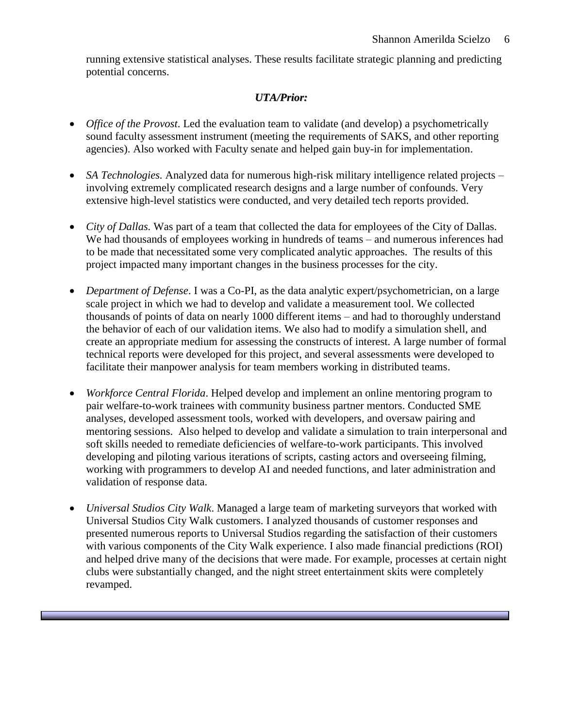running extensive statistical analyses. These results facilitate strategic planning and predicting potential concerns.

### *UTA/Prior:*

- *Office of the Provost*. Led the evaluation team to validate (and develop) a psychometrically sound faculty assessment instrument (meeting the requirements of SAKS, and other reporting agencies). Also worked with Faculty senate and helped gain buy-in for implementation.
- *SA Technologies.* Analyzed data for numerous high-risk military intelligence related projects involving extremely complicated research designs and a large number of confounds. Very extensive high-level statistics were conducted, and very detailed tech reports provided.
- *City of Dallas.* Was part of a team that collected the data for employees of the City of Dallas. We had thousands of employees working in hundreds of teams – and numerous inferences had to be made that necessitated some very complicated analytic approaches. The results of this project impacted many important changes in the business processes for the city.
- *Department of Defense*. I was a Co-PI, as the data analytic expert/psychometrician, on a large scale project in which we had to develop and validate a measurement tool. We collected thousands of points of data on nearly 1000 different items – and had to thoroughly understand the behavior of each of our validation items. We also had to modify a simulation shell, and create an appropriate medium for assessing the constructs of interest. A large number of formal technical reports were developed for this project, and several assessments were developed to facilitate their manpower analysis for team members working in distributed teams.
- *Workforce Central Florida*. Helped develop and implement an online mentoring program to pair welfare-to-work trainees with community business partner mentors. Conducted SME analyses, developed assessment tools, worked with developers, and oversaw pairing and mentoring sessions. Also helped to develop and validate a simulation to train interpersonal and soft skills needed to remediate deficiencies of welfare-to-work participants. This involved developing and piloting various iterations of scripts, casting actors and overseeing filming, working with programmers to develop AI and needed functions, and later administration and validation of response data.
- *Universal Studios City Walk*. Managed a large team of marketing surveyors that worked with Universal Studios City Walk customers. I analyzed thousands of customer responses and presented numerous reports to Universal Studios regarding the satisfaction of their customers with various components of the City Walk experience. I also made financial predictions (ROI) and helped drive many of the decisions that were made. For example, processes at certain night clubs were substantially changed, and the night street entertainment skits were completely revamped.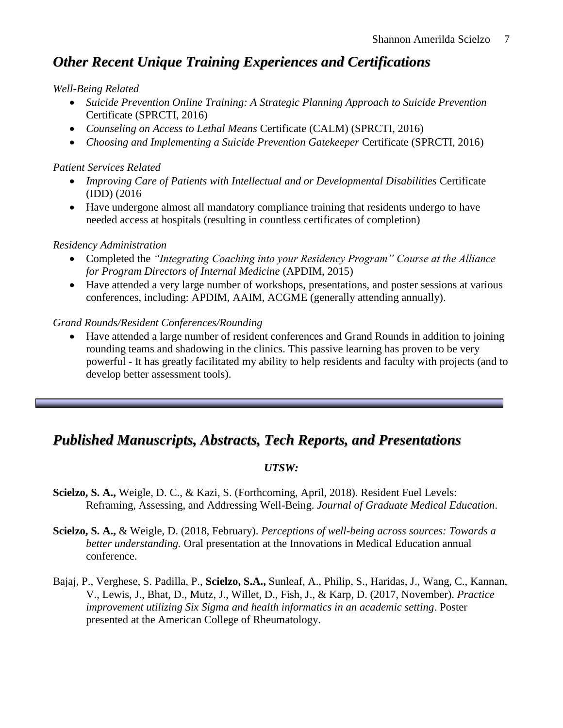# *Other Recent Unique Training Experiences and Certifications*

#### *Well-Being Related*

- *Suicide Prevention Online Training: A Strategic Planning Approach to Suicide Prevention* Certificate (SPRCTI, 2016)
- *Counseling on Access to Lethal Means* Certificate (CALM) (SPRCTI, 2016)
- *Choosing and Implementing a Suicide Prevention Gatekeeper* Certificate (SPRCTI, 2016)

#### *Patient Services Related*

- *Improving Care of Patients with Intellectual and or Developmental Disabilities* Certificate (IDD) (2016
- Have undergone almost all mandatory compliance training that residents undergo to have needed access at hospitals (resulting in countless certificates of completion)

#### *Residency Administration*

- Completed the *"Integrating Coaching into your Residency Program" Course at the Alliance for Program Directors of Internal Medicine* (APDIM, 2015)
- Have attended a very large number of workshops, presentations, and poster sessions at various conferences, including: APDIM, AAIM, ACGME (generally attending annually).

#### *Grand Rounds/Resident Conferences/Rounding*

 Have attended a large number of resident conferences and Grand Rounds in addition to joining rounding teams and shadowing in the clinics. This passive learning has proven to be very powerful - It has greatly facilitated my ability to help residents and faculty with projects (and to develop better assessment tools).

## *Published Manuscripts, Abstracts, Tech Reports, and Presentations*

### *UTSW:*

- **Scielzo, S. A.,** Weigle, D. C., & Kazi, S. (Forthcoming, April, 2018). Resident Fuel Levels: Reframing, Assessing, and Addressing Well-Being. *Journal of Graduate Medical Education*.
- **Scielzo, S. A.,** & Weigle, D. (2018, February). *Perceptions of well-being across sources: Towards a better understanding.* Oral presentation at the Innovations in Medical Education annual conference.
- Bajaj, P., Verghese, S. Padilla, P., **Scielzo, S.A.,** Sunleaf, A., Philip, S., Haridas, J., Wang, C., Kannan, V., Lewis, J., Bhat, D., Mutz, J., Willet, D., Fish, J., & Karp, D. (2017, November). *Practice improvement utilizing Six Sigma and health informatics in an academic setting*. Poster presented at the American College of Rheumatology.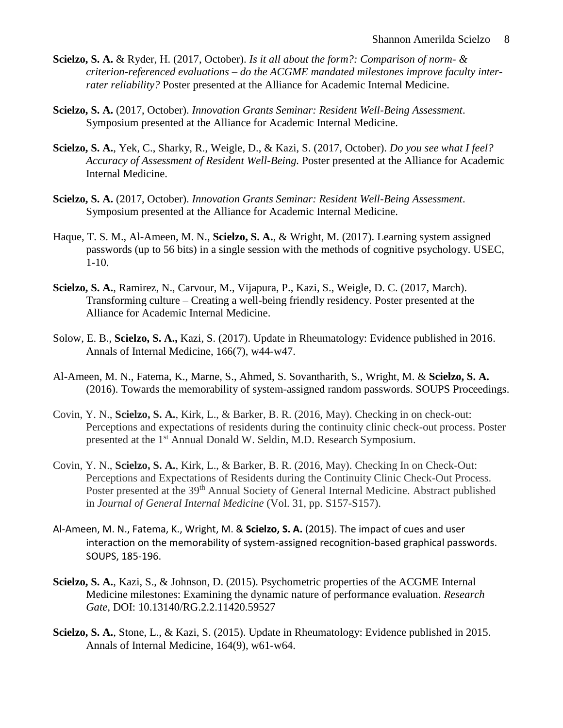- **Scielzo, S. A.** & Ryder, H. (2017, October). *Is it all about the form?: Comparison of norm- & criterion-referenced evaluations – do the ACGME mandated milestones improve faculty interrater reliability?* Poster presented at the Alliance for Academic Internal Medicine.
- **Scielzo, S. A.** (2017, October). *Innovation Grants Seminar: Resident Well-Being Assessment*. Symposium presented at the Alliance for Academic Internal Medicine.
- **Scielzo, S. A.**, Yek, C., Sharky, R., Weigle, D., & Kazi, S. (2017, October). *Do you see what I feel? Accuracy of Assessment of Resident Well-Being.* Poster presented at the Alliance for Academic Internal Medicine.
- **Scielzo, S. A.** (2017, October). *Innovation Grants Seminar: Resident Well-Being Assessment*. Symposium presented at the Alliance for Academic Internal Medicine.
- Haque, T. S. M., Al-Ameen, M. N., **Scielzo, S. A.**, & Wright, M. (2017). Learning system assigned passwords (up to 56 bits) in a single session with the methods of cognitive psychology. USEC, 1-10.
- **Scielzo, S. A.**, Ramirez, N., Carvour, M., Vijapura, P., Kazi, S., Weigle, D. C. (2017, March). Transforming culture – Creating a well-being friendly residency. Poster presented at the Alliance for Academic Internal Medicine.
- Solow, E. B., **Scielzo, S. A.,** Kazi, S. (2017). Update in Rheumatology: Evidence published in 2016. Annals of Internal Medicine, 166(7), w44-w47.
- Al-Ameen, M. N., Fatema, K., Marne, S., Ahmed, S. Sovantharith, S., Wright, M. & **Scielzo, S. A.**  (2016). Towards the memorability of system-assigned random passwords. SOUPS Proceedings.
- Covin, Y. N., **Scielzo, S. A.**, Kirk, L., & Barker, B. R. (2016, May). Checking in on check-out: Perceptions and expectations of residents during the continuity clinic check-out process. Poster presented at the 1<sup>st</sup> Annual Donald W. Seldin, M.D. Research Symposium.
- Covin, Y. N., **Scielzo, S. A.**, Kirk, L., & Barker, B. R. (2016, May). Checking In on Check-Out: Perceptions and Expectations of Residents during the Continuity Clinic Check-Out Process. Poster presented at the 39<sup>th</sup> Annual Society of General Internal Medicine. Abstract published in *Journal of General Internal Medicine* (Vol. 31, pp. S157-S157).
- Al-Ameen, M. N., Fatema, K., Wright, M. & **Scielzo, S. A.** (2015). The impact of cues and user interaction on the memorability of system-assigned recognition-based graphical passwords. SOUPS, 185-196.
- **Scielzo, S. A.**, Kazi, S., & Johnson, D. (2015). Psychometric properties of the ACGME Internal Medicine milestones: Examining the dynamic nature of performance evaluation. *Research Gate*, DOI: 10.13140/RG.2.2.11420.59527
- **Scielzo, S. A.**, Stone, L., & Kazi, S. (2015). Update in Rheumatology: Evidence published in 2015. Annals of Internal Medicine, 164(9), w61-w64.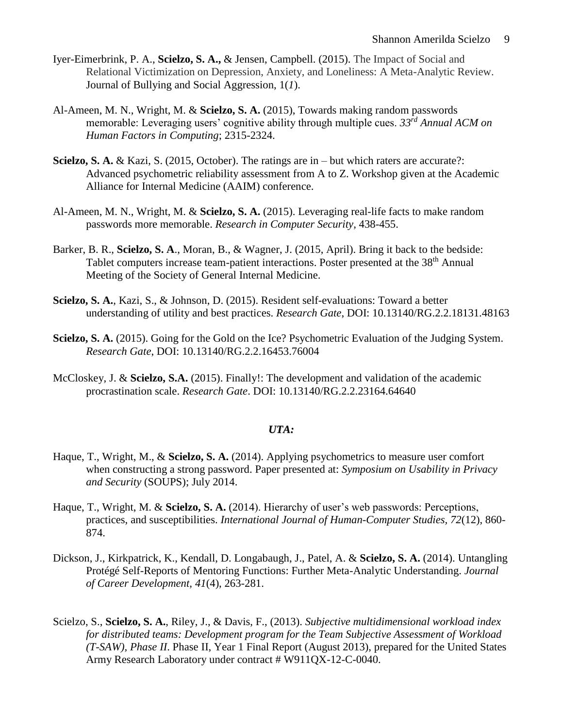- Iyer-Eimerbrink, P. A., **Scielzo, S. A.,** & Jensen, Campbell. (2015). The Impact of Social and Relational Victimization on Depression, Anxiety, and Loneliness: A Meta-Analytic Review. Journal of Bullying and Social Aggression, 1(*1*).
- Al-Ameen, M. N., Wright, M. & **Scielzo, S. A.** (2015), Towards making random passwords memorable: Leveraging users' cognitive ability through multiple cues. *33rd Annual ACM on Human Factors in Computing*; 2315-2324.
- **Scielzo, S. A.** & Kazi, S. (2015, October). The ratings are in but which raters are accurate?: Advanced psychometric reliability assessment from A to Z. Workshop given at the Academic Alliance for Internal Medicine (AAIM) conference.
- Al-Ameen, M. N., Wright, M. & **Scielzo, S. A.** (2015). Leveraging real-life facts to make random passwords more memorable. *Research in Computer Security*, 438-455.
- Barker, B. R., **Scielzo, S. A**., Moran, B., & Wagner, J. (2015, April). Bring it back to the bedside: Tablet computers increase team-patient interactions. Poster presented at the 38<sup>th</sup> Annual Meeting of the Society of General Internal Medicine.
- **Scielzo, S. A.**, Kazi, S., & Johnson, D. (2015). Resident self-evaluations: Toward a better understanding of utility and best practices. *Research Gate*, DOI: 10.13140/RG.2.2.18131.48163
- **Scielzo, S. A.** (2015). Going for the Gold on the Ice? Psychometric Evaluation of the Judging System. *Research Gate*, DOI: 10.13140/RG.2.2.16453.76004
- McCloskey, J. & **Scielzo, S.A.** (2015). Finally!: The development and validation of the academic procrastination scale. *Research Gate*. DOI: 10.13140/RG.2.2.23164.64640

#### *UTA:*

- Haque, T., Wright, M., & **Scielzo, S. A.** (2014). Applying psychometrics to measure user comfort when constructing a strong password. Paper presented at: *Symposium on Usability in Privacy and Security* (SOUPS); July 2014.
- Haque, T., Wright, M. & **Scielzo, S. A.** (2014). Hierarchy of user's web passwords: Perceptions, practices, and susceptibilities. *International Journal of Human-Computer Studies, 72*(12), 860- 874.
- Dickson, J., Kirkpatrick, K., Kendall, D. Longabaugh, J., Patel, A. & **Scielzo, S. A.** (2014). Untangling Protégé Self-Reports of Mentoring Functions: Further Meta-Analytic Understanding. *Journal of Career Development, 41*(4), 263-281.
- Scielzo, S., **Scielzo, S. A.**, Riley, J., & Davis, F., (2013). *Subjective multidimensional workload index for distributed teams: Development program for the Team Subjective Assessment of Workload (T-SAW), Phase II*. Phase II, Year 1 Final Report (August 2013), prepared for the United States Army Research Laboratory under contract # W911QX-12-C-0040.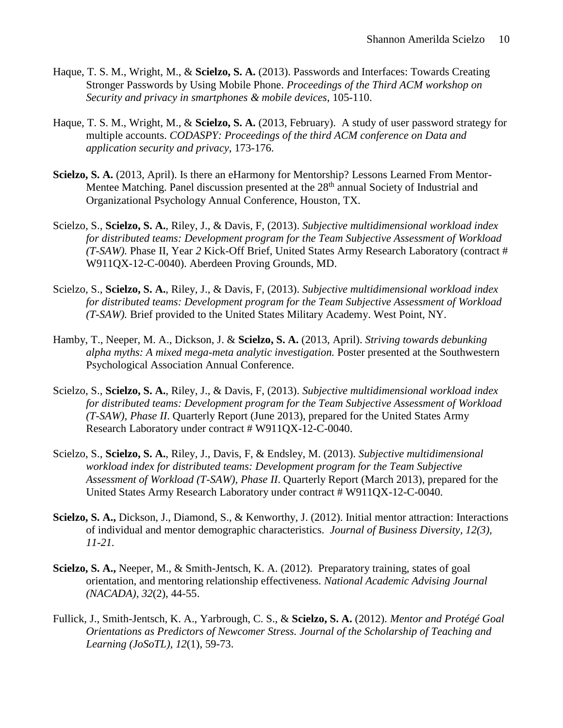- Haque, T. S. M., Wright, M., & **Scielzo, S. A.** (2013). Passwords and Interfaces: Towards Creating Stronger Passwords by Using Mobile Phone. *Proceedings of the Third ACM workshop on Security and privacy in smartphones & mobile devices*, 105-110.
- Haque, T. S. M., Wright, M., & **Scielzo, S. A.** (2013, February). A study of user password strategy for multiple accounts. *CODASPY: Proceedings of the third ACM conference on Data and application security and privacy*, 173-176.
- **Scielzo, S. A.** (2013, April). Is there an eHarmony for Mentorship? Lessons Learned From Mentor-Mentee Matching. Panel discussion presented at the  $28<sup>th</sup>$  annual Society of Industrial and Organizational Psychology Annual Conference, Houston, TX.
- Scielzo, S., **Scielzo, S. A.**, Riley, J., & Davis, F, (2013). *Subjective multidimensional workload index for distributed teams: Development program for the Team Subjective Assessment of Workload (T-SAW).* Phase II, Year *2* Kick-Off Brief, United States Army Research Laboratory (contract # W911QX-12-C-0040). Aberdeen Proving Grounds, MD.
- Scielzo, S., **Scielzo, S. A.**, Riley, J., & Davis, F, (2013). *Subjective multidimensional workload index for distributed teams: Development program for the Team Subjective Assessment of Workload (T-SAW).* Brief provided to the United States Military Academy. West Point, NY.
- Hamby, T., Neeper, M. A., Dickson, J. & **Scielzo, S. A.** (2013, April). *Striving towards debunking alpha myths: A mixed mega-meta analytic investigation.* Poster presented at the Southwestern Psychological Association Annual Conference.
- Scielzo, S., **Scielzo, S. A.**, Riley, J., & Davis, F, (2013). *Subjective multidimensional workload index for distributed teams: Development program for the Team Subjective Assessment of Workload (T-SAW), Phase II*. Quarterly Report (June 2013), prepared for the United States Army Research Laboratory under contract # W911QX-12-C-0040.
- Scielzo, S., **Scielzo, S. A.**, Riley, J., Davis, F, & Endsley, M. (2013). *Subjective multidimensional workload index for distributed teams: Development program for the Team Subjective Assessment of Workload (T-SAW), Phase II*. Quarterly Report (March 2013), prepared for the United States Army Research Laboratory under contract # W911QX-12-C-0040.
- **Scielzo, S. A.,** Dickson, J., Diamond, S., & Kenworthy, J. (2012). Initial mentor attraction: Interactions of individual and mentor demographic characteristics. *Journal of Business Diversity, 12(3), 11-21.*
- **Scielzo, S. A.,** Neeper, M., & Smith-Jentsch, K. A. (2012). Preparatory training, states of goal orientation, and mentoring relationship effectiveness. *National Academic Advising Journal (NACADA), 32*(2), 44-55.
- Fullick, J., Smith-Jentsch, K. A., Yarbrough, C. S., & **Scielzo, S. A.** (2012). *Mentor and Protégé Goal Orientations as Predictors of Newcomer Stress. Journal of the Scholarship of Teaching and Learning (JoSoTL), 12*(1), 59-73.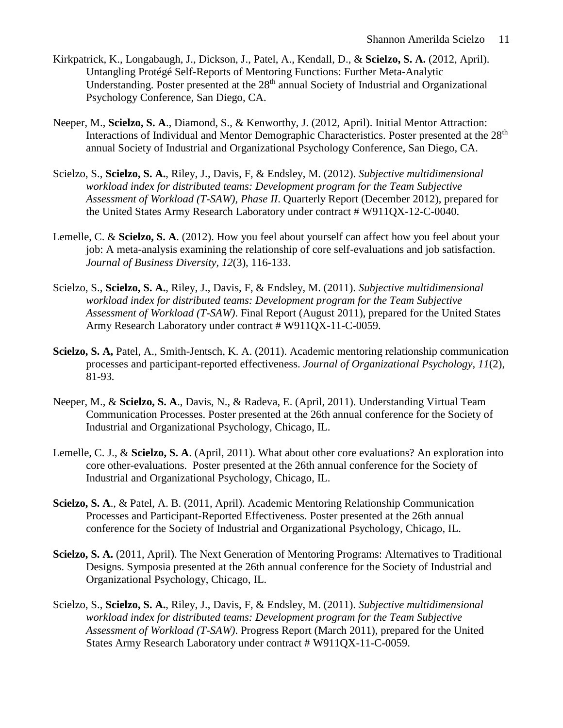- Kirkpatrick, K., Longabaugh, J., Dickson, J., Patel, A., Kendall, D., & **Scielzo, S. A.** (2012, April). Untangling Protégé Self-Reports of Mentoring Functions: Further Meta-Analytic Understanding. Poster presented at the 28<sup>th</sup> annual Society of Industrial and Organizational Psychology Conference, San Diego, CA.
- Neeper, M., **Scielzo, S. A**., Diamond, S., & Kenworthy, J. (2012, April). Initial Mentor Attraction: Interactions of Individual and Mentor Demographic Characteristics. Poster presented at the 28<sup>th</sup> annual Society of Industrial and Organizational Psychology Conference, San Diego, CA.
- Scielzo, S., **Scielzo, S. A.**, Riley, J., Davis, F, & Endsley, M. (2012). *Subjective multidimensional workload index for distributed teams: Development program for the Team Subjective Assessment of Workload (T-SAW), Phase II*. Quarterly Report (December 2012), prepared for the United States Army Research Laboratory under contract # W911QX-12-C-0040.
- Lemelle, C. & **Scielzo, S. A**. (2012). How you feel about yourself can affect how you feel about your job: A meta-analysis examining the relationship of core self-evaluations and job satisfaction. *Journal of Business Diversity, 12*(3), 116-133.
- Scielzo, S., **Scielzo, S. A.**, Riley, J., Davis, F, & Endsley, M. (2011). *Subjective multidimensional workload index for distributed teams: Development program for the Team Subjective Assessment of Workload (T-SAW)*. Final Report (August 2011), prepared for the United States Army Research Laboratory under contract # W911QX-11-C-0059.
- **Scielzo, S. A,** Patel, A., Smith-Jentsch, K. A. (2011). Academic mentoring relationship communication processes and participant-reported effectiveness. *Journal of Organizational Psychology, 11*(2), 81-93*.*
- Neeper, M., & **Scielzo, S. A**., Davis, N., & Radeva, E. (April, 2011). Understanding Virtual Team Communication Processes. Poster presented at the 26th annual conference for the Society of Industrial and Organizational Psychology, Chicago, IL.
- Lemelle, C. J., & **Scielzo, S. A**. (April, 2011). What about other core evaluations? An exploration into core other-evaluations. Poster presented at the 26th annual conference for the Society of Industrial and Organizational Psychology, Chicago, IL.
- **Scielzo, S. A**., & Patel, A. B. (2011, April). Academic Mentoring Relationship Communication Processes and Participant-Reported Effectiveness. Poster presented at the 26th annual conference for the Society of Industrial and Organizational Psychology, Chicago, IL.
- **Scielzo, S. A.** (2011, April). The Next Generation of Mentoring Programs: Alternatives to Traditional Designs. Symposia presented at the 26th annual conference for the Society of Industrial and Organizational Psychology, Chicago, IL.
- Scielzo, S., **Scielzo, S. A.**, Riley, J., Davis, F, & Endsley, M. (2011). *Subjective multidimensional workload index for distributed teams: Development program for the Team Subjective Assessment of Workload (T-SAW)*. Progress Report (March 2011), prepared for the United States Army Research Laboratory under contract # W911QX-11-C-0059.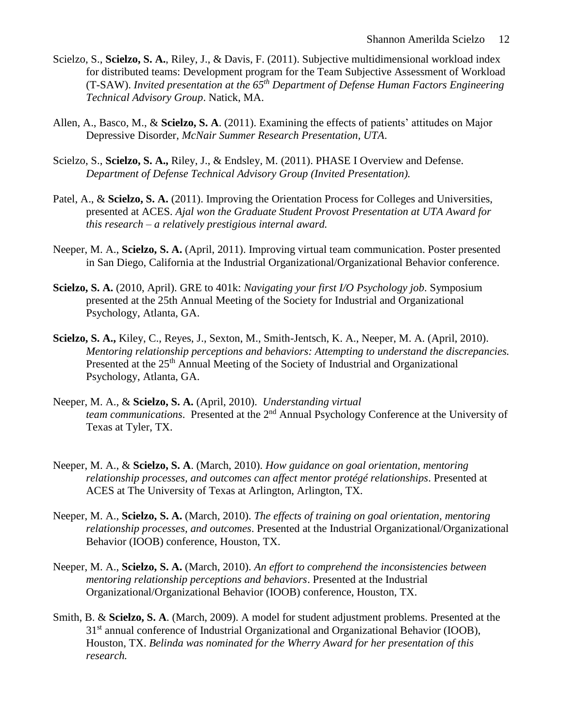- Scielzo, S., **Scielzo, S. A.**, Riley, J., & Davis, F. (2011). Subjective multidimensional workload index for distributed teams: Development program for the Team Subjective Assessment of Workload (T-SAW). *Invited presentation at the 65th Department of Defense Human Factors Engineering Technical Advisory Group*. Natick, MA.
- Allen, A., Basco, M., & **Scielzo, S. A**. (2011). Examining the effects of patients' attitudes on Major Depressive Disorder, *McNair Summer Research Presentation, UTA*.
- Scielzo, S., **Scielzo, S. A.,** Riley, J., & Endsley, M. (2011). PHASE I Overview and Defense. *Department of Defense Technical Advisory Group (Invited Presentation).*
- Patel, A., & **Scielzo, S. A.** (2011). Improving the Orientation Process for Colleges and Universities, presented at ACES. *Ajal won the Graduate Student Provost Presentation at UTA Award for this research – a relatively prestigious internal award.*
- Neeper, M. A., **Scielzo, S. A.** (April, 2011). Improving virtual team communication. Poster presented in San Diego, California at the Industrial Organizational/Organizational Behavior conference.
- **Scielzo, S. A.** (2010, April). GRE to 401k: *Navigating your first I/O Psychology job*. Symposium presented at the 25th Annual Meeting of the Society for Industrial and Organizational Psychology, Atlanta, GA.
- **Scielzo, S. A.,** Kiley, C., Reyes, J., Sexton, M., Smith-Jentsch, K. A., Neeper, M. A. (April, 2010). *Mentoring relationship perceptions and behaviors: Attempting to understand the discrepancies.* Presented at the 25<sup>th</sup> Annual Meeting of the Society of Industrial and Organizational Psychology, Atlanta, GA.
- Neeper, M. A., & **Scielzo, S. A.** (April, 2010). *Understanding virtual team communications*. Presented at the 2nd Annual Psychology Conference at the University of Texas at Tyler, TX.
- Neeper, M. A., & **Scielzo, S. A**. (March, 2010). *How guidance on goal orientation, mentoring relationship processes, and outcomes can affect mentor protégé relationships*. Presented at ACES at The University of Texas at Arlington, Arlington, TX.
- Neeper, M. A., **Scielzo, S. A.** (March, 2010). *The effects of training on goal orientation, mentoring relationship processes, and outcomes*. Presented at the Industrial Organizational/Organizational Behavior (IOOB) conference, Houston, TX.
- Neeper, M. A., **Scielzo, S. A.** (March, 2010). *An effort to comprehend the inconsistencies between mentoring relationship perceptions and behaviors*. Presented at the Industrial Organizational/Organizational Behavior (IOOB) conference, Houston, TX.
- Smith, B. & **Scielzo, S. A**. (March, 2009). A model for student adjustment problems. Presented at the 31<sup>st</sup> annual conference of Industrial Organizational and Organizational Behavior (IOOB), Houston, TX. *Belinda was nominated for the Wherry Award for her presentation of this research.*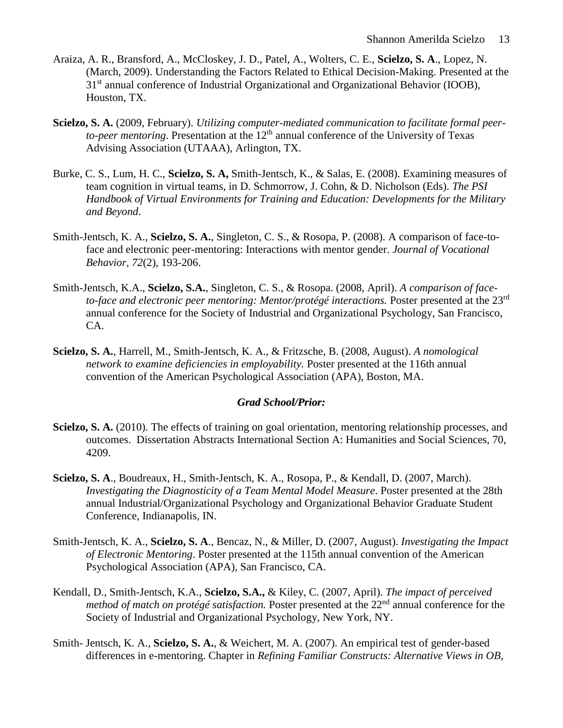- Araiza, A. R., Bransford, A., McCloskey, J. D., Patel, A., Wolters, C. E., **Scielzo, S. A**., Lopez, N. (March, 2009). Understanding the Factors Related to Ethical Decision-Making. Presented at the 31<sup>st</sup> annual conference of Industrial Organizational and Organizational Behavior (IOOB), Houston, TX.
- **Scielzo, S. A.** (2009, February). *Utilizing computer-mediated communication to facilitate formal peerto-peer mentoring*. Presentation at the 12<sup>th</sup> annual conference of the University of Texas Advising Association (UTAAA), Arlington, TX.
- Burke, C. S., Lum, H. C., **Scielzo, S. A,** Smith-Jentsch, K., & Salas, E. (2008). Examining measures of team cognition in virtual teams, in D. Schmorrow, J. Cohn, & D. Nicholson (Eds). *The PSI Handbook of Virtual Environments for Training and Education: Developments for the Military and Beyond*.
- Smith-Jentsch, K. A., **Scielzo, S. A.**, Singleton, C. S., & Rosopa, P. (2008). A comparison of face-toface and electronic peer-mentoring: Interactions with mentor gender. *Journal of Vocational Behavior, 72*(2), 193-206.
- Smith-Jentsch, K.A., **Scielzo, S.A.**, Singleton, C. S., & Rosopa. (2008, April). *A comparison of faceto-face and electronic peer mentoring: Mentor/protégé interactions.* Poster presented at the 23rd annual conference for the Society of Industrial and Organizational Psychology, San Francisco, CA.
- **Scielzo, S. A.**, Harrell, M., Smith-Jentsch, K. A., & Fritzsche, B. (2008, August). *A nomological network to examine deficiencies in employability.* Poster presented at the 116th annual convention of the American Psychological Association (APA), Boston, MA.

#### *Grad School/Prior:*

- **Scielzo, S. A.** (2010). The effects of training on goal orientation, mentoring relationship processes, and outcomes. Dissertation Abstracts International Section A: Humanities and Social Sciences, 70, 4209.
- **Scielzo, S. A**., Boudreaux, H., Smith-Jentsch, K. A., Rosopa, P., & Kendall, D. (2007, March). *Investigating the Diagnosticity of a Team Mental Model Measure*. Poster presented at the 28th annual Industrial/Organizational Psychology and Organizational Behavior Graduate Student Conference, Indianapolis, IN.
- Smith-Jentsch, K. A., **Scielzo, S. A**., Bencaz, N., & Miller, D. (2007, August). *Investigating the Impact of Electronic Mentoring*. Poster presented at the 115th annual convention of the American Psychological Association (APA), San Francisco, CA.
- Kendall, D., Smith-Jentsch, K.A., **Scielzo, S.A.,** & Kiley, C. (2007, April). *The impact of perceived method of match on protégé satisfaction*. Poster presented at the 22<sup>nd</sup> annual conference for the Society of Industrial and Organizational Psychology, New York, NY.
- Smith- Jentsch, K. A., **Scielzo, S. A.**, & Weichert, M. A. (2007). An empirical test of gender-based differences in e-mentoring. Chapter in *Refining Familiar Constructs: Alternative Views in OB,*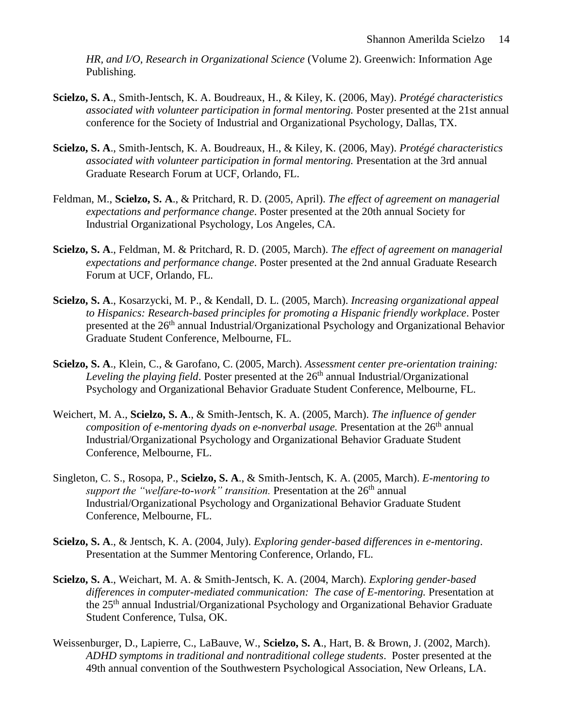*HR, and I/O, Research in Organizational Science* (Volume 2). Greenwich: Information Age Publishing.

- **Scielzo, S. A**., Smith-Jentsch, K. A. Boudreaux, H., & Kiley, K. (2006, May). *Protégé characteristics associated with volunteer participation in formal mentoring.* Poster presented at the 21st annual conference for the Society of Industrial and Organizational Psychology, Dallas, TX.
- **Scielzo, S. A**., Smith-Jentsch, K. A. Boudreaux, H., & Kiley, K. (2006, May). *Protégé characteristics associated with volunteer participation in formal mentoring.* Presentation at the 3rd annual Graduate Research Forum at UCF, Orlando, FL.
- Feldman, M., **Scielzo, S. A**., & Pritchard, R. D. (2005, April). *The effect of agreement on managerial expectations and performance change*. Poster presented at the 20th annual Society for Industrial Organizational Psychology, Los Angeles, CA.
- **Scielzo, S. A**., Feldman, M. & Pritchard, R. D. (2005, March). *The effect of agreement on managerial expectations and performance change*. Poster presented at the 2nd annual Graduate Research Forum at UCF, Orlando, FL.
- **Scielzo, S. A**., Kosarzycki, M. P., & Kendall, D. L. (2005, March). *Increasing organizational appeal to Hispanics: Research-based principles for promoting a Hispanic friendly workplace*. Poster presented at the 26<sup>th</sup> annual Industrial/Organizational Psychology and Organizational Behavior Graduate Student Conference, Melbourne, FL.
- **Scielzo, S. A**., Klein, C., & Garofano, C. (2005, March). *Assessment center pre-orientation training: Leveling the playing field.* Poster presented at the 26<sup>th</sup> annual Industrial/Organizational Psychology and Organizational Behavior Graduate Student Conference, Melbourne, FL.
- Weichert, M. A., **Scielzo, S. A**., & Smith-Jentsch, K. A. (2005, March). *The influence of gender composition of e-mentoring dyads on e-nonverbal usage.* Presentation at the 26<sup>th</sup> annual Industrial/Organizational Psychology and Organizational Behavior Graduate Student Conference, Melbourne, FL.
- Singleton, C. S., Rosopa, P., **Scielzo, S. A**., & Smith-Jentsch, K. A. (2005, March). *E-mentoring to support the "welfare-to-work" transition.* Presentation at the 26<sup>th</sup> annual Industrial/Organizational Psychology and Organizational Behavior Graduate Student Conference, Melbourne, FL.
- **Scielzo, S. A**., & Jentsch, K. A. (2004, July). *Exploring gender-based differences in e-mentoring*. Presentation at the Summer Mentoring Conference, Orlando, FL.
- **Scielzo, S. A**., Weichart, M. A. & Smith-Jentsch, K. A. (2004, March). *Exploring gender-based differences in computer-mediated communication: The case of E-mentoring.* Presentation at the 25<sup>th</sup> annual Industrial/Organizational Psychology and Organizational Behavior Graduate Student Conference, Tulsa, OK.
- Weissenburger, D., Lapierre, C., LaBauve, W., **Scielzo, S. A**., Hart, B. & Brown, J. (2002, March). *ADHD symptoms in traditional and nontraditional college students*. Poster presented at the 49th annual convention of the Southwestern Psychological Association, New Orleans, LA.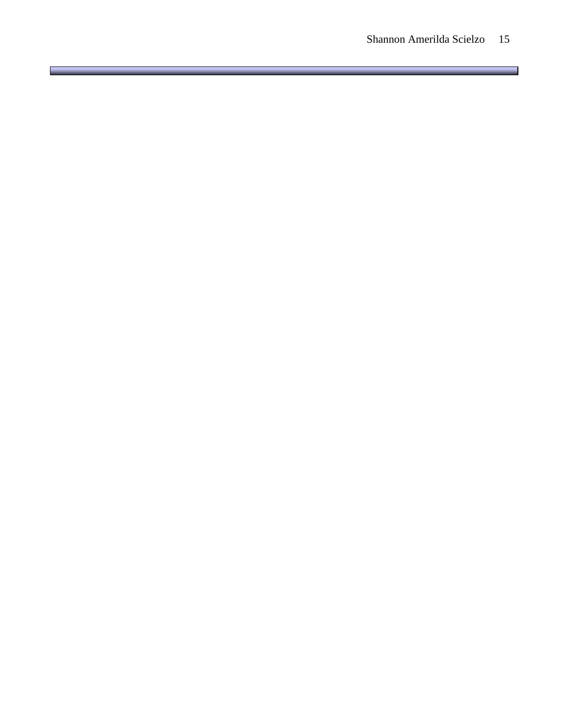\_\_\_\_\_

۰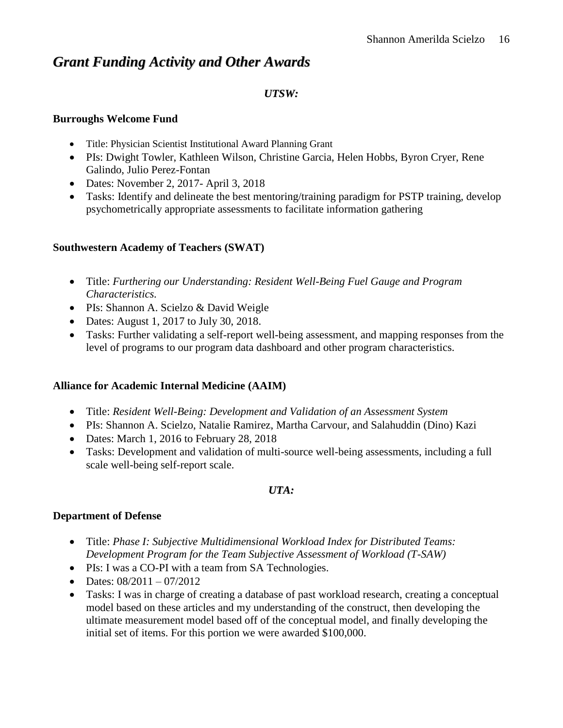## *Grant Funding Activity and Other Awards*

### *UTSW:*

#### **Burroughs Welcome Fund**

- Title: Physician Scientist Institutional Award Planning Grant
- PIs: Dwight Towler, Kathleen Wilson, Christine Garcia, Helen Hobbs, Byron Cryer, Rene Galindo, Julio Perez-Fontan
- Dates: November 2, 2017- April 3, 2018
- Tasks: Identify and delineate the best mentoring/training paradigm for PSTP training, develop psychometrically appropriate assessments to facilitate information gathering

## **Southwestern Academy of Teachers (SWAT)**

- Title: *Furthering our Understanding: Resident Well-Being Fuel Gauge and Program Characteristics.*
- PIs: Shannon A. Scielzo & David Weigle
- Dates: August 1, 2017 to July 30, 2018.
- Tasks: Further validating a self-report well-being assessment, and mapping responses from the level of programs to our program data dashboard and other program characteristics.

### **Alliance for Academic Internal Medicine (AAIM)**

- Title: *Resident Well-Being: Development and Validation of an Assessment System*
- PIs: Shannon A. Scielzo, Natalie Ramirez, Martha Carvour, and Salahuddin (Dino) Kazi
- Dates: March 1, 2016 to February 28, 2018
- Tasks: Development and validation of multi-source well-being assessments, including a full scale well-being self-report scale.

### *UTA:*

### **Department of Defense**

- Title: *Phase I: Subjective Multidimensional Workload Index for Distributed Teams: Development Program for the Team Subjective Assessment of Workload (T-SAW)*
- PIs: I was a CO-PI with a team from SA Technologies.
- Dates:  $08/2011 07/2012$
- Tasks: I was in charge of creating a database of past workload research, creating a conceptual model based on these articles and my understanding of the construct, then developing the ultimate measurement model based off of the conceptual model, and finally developing the initial set of items. For this portion we were awarded \$100,000.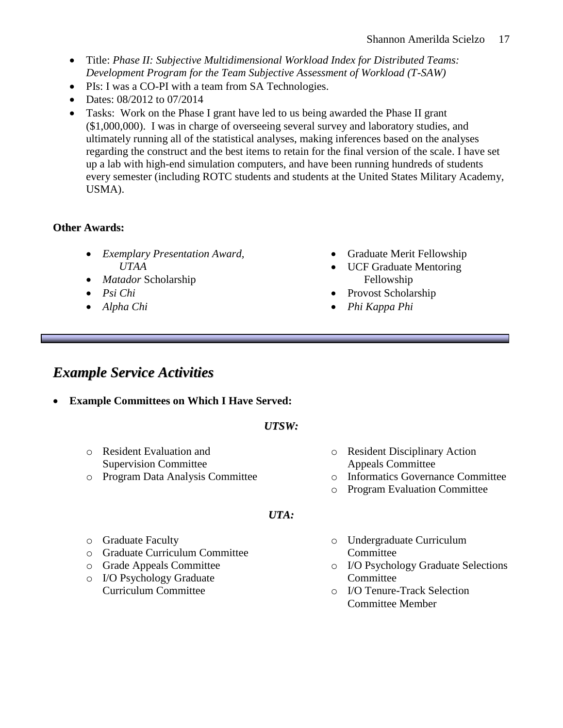- Title: *Phase II: Subjective Multidimensional Workload Index for Distributed Teams: Development Program for the Team Subjective Assessment of Workload (T-SAW)*
- PIs: I was a CO-PI with a team from SA Technologies.
- Dates: 08/2012 to 07/2014
- Tasks: Work on the Phase I grant have led to us being awarded the Phase II grant (\$1,000,000). I was in charge of overseeing several survey and laboratory studies, and ultimately running all of the statistical analyses, making inferences based on the analyses regarding the construct and the best items to retain for the final version of the scale. I have set up a lab with high-end simulation computers, and have been running hundreds of students every semester (including ROTC students and students at the United States Military Academy, USMA).

### **Other Awards:**

- *Exemplary Presentation Award, UTAA*
- *Matador* Scholarship
- *Psi Chi*
- *Alpha Chi*
- Graduate Merit Fellowship
- UCF Graduate Mentoring Fellowship
- Provost Scholarship
- *Phi Kappa Phi*

## *Example Service Activities*

- **Example Committees on Which I Have Served:** 
	- *UTSW:*
	- o Resident Evaluation and Supervision Committee
	- o Program Data Analysis Committee
- o Resident Disciplinary Action Appeals Committee
- o Informatics Governance Committee
- o Program Evaluation Committee

#### *UTA:*

- o Graduate Faculty
- o Graduate Curriculum Committee
- o Grade Appeals Committee
- o I/O Psychology Graduate Curriculum Committee
- o Undergraduate Curriculum Committee
- o I/O Psychology Graduate Selections **Committee**
- o I/O Tenure-Track Selection Committee Member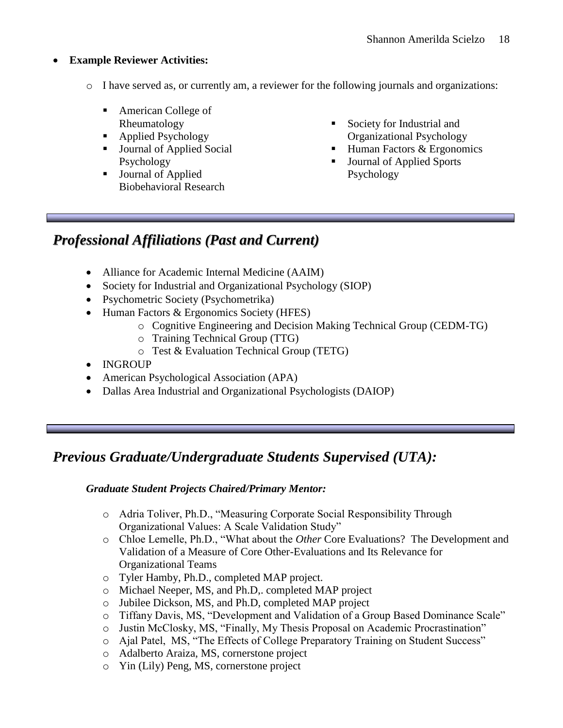#### **Example Reviewer Activities:**

- o I have served as, or currently am, a reviewer for the following journals and organizations:
	- **American College of** Rheumatology
	- Applied Psychology
	- Journal of Applied Social Psychology
	- Journal of Applied Biobehavioral Research
- Society for Industrial and Organizational Psychology
- Human Factors & Ergonomics
- Journal of Applied Sports Psychology

## *Professional Affiliations (Past and Current)*

- Alliance for Academic Internal Medicine (AAIM)
- Society for Industrial and Organizational Psychology (SIOP)
- Psychometric Society (Psychometrika)
- Human Factors & Ergonomics Society (HFES)
	- o Cognitive Engineering and Decision Making Technical Group (CEDM-TG)
	- o Training Technical Group (TTG)
	- o Test & Evaluation Technical Group (TETG)
- INGROUP
- American Psychological Association (APA)
- Dallas Area Industrial and Organizational Psychologists (DAIOP)

## *Previous Graduate/Undergraduate Students Supervised (UTA):*

#### *Graduate Student Projects Chaired/Primary Mentor:*

- o Adria Toliver, Ph.D., "Measuring Corporate Social Responsibility Through Organizational Values: A Scale Validation Study"
- o Chloe Lemelle, Ph.D., "What about the *Other* Core Evaluations? The Development and Validation of a Measure of Core Other-Evaluations and Its Relevance for Organizational Teams
- o Tyler Hamby, Ph.D., completed MAP project.
- o Michael Neeper, MS, and Ph.D,. completed MAP project
- o Jubilee Dickson, MS, and Ph.D, completed MAP project
- o Tiffany Davis, MS, "Development and Validation of a Group Based Dominance Scale"
- o Justin McClosky, MS, "Finally, My Thesis Proposal on Academic Procrastination"
- o Ajal Patel, MS, "The Effects of College Preparatory Training on Student Success"
- o Adalberto Araiza, MS, cornerstone project
- o Yin (Lily) Peng, MS, cornerstone project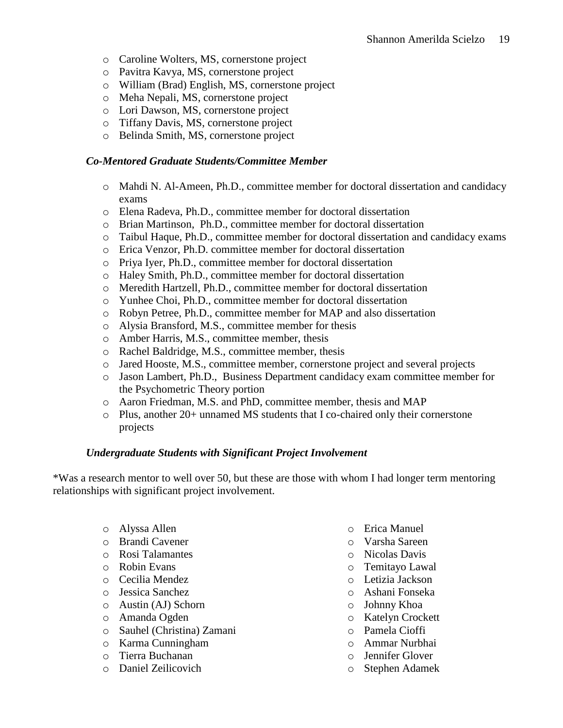- o Caroline Wolters, MS, cornerstone project
- o Pavitra Kavya, MS, cornerstone project
- o William (Brad) English, MS, cornerstone project
- o Meha Nepali, MS, cornerstone project
- o Lori Dawson, MS, cornerstone project
- o Tiffany Davis, MS, cornerstone project
- o Belinda Smith, MS, cornerstone project

#### *Co-Mentored Graduate Students/Committee Member*

- o Mahdi N. Al-Ameen, Ph.D., committee member for doctoral dissertation and candidacy exams
- o Elena Radeva, Ph.D., committee member for doctoral dissertation
- o Brian Martinson, Ph.D., committee member for doctoral dissertation
- o Taibul Haque, Ph.D., committee member for doctoral dissertation and candidacy exams
- o Erica Venzor, Ph.D. committee member for doctoral dissertation
- o Priya Iyer, Ph.D., committee member for doctoral dissertation
- o Haley Smith, Ph.D., committee member for doctoral dissertation
- o Meredith Hartzell, Ph.D., committee member for doctoral dissertation
- o Yunhee Choi, Ph.D., committee member for doctoral dissertation
- o Robyn Petree, Ph.D., committee member for MAP and also dissertation
- o Alysia Bransford, M.S., committee member for thesis
- o Amber Harris, M.S., committee member, thesis
- o Rachel Baldridge, M.S., committee member, thesis
- o Jared Hooste, M.S., committee member, cornerstone project and several projects
- o Jason Lambert, Ph.D., Business Department candidacy exam committee member for the Psychometric Theory portion
- o Aaron Friedman, M.S. and PhD, committee member, thesis and MAP
- o Plus, another 20+ unnamed MS students that I co-chaired only their cornerstone projects

#### *Undergraduate Students with Significant Project Involvement*

\*Was a research mentor to well over 50, but these are those with whom I had longer term mentoring relationships with significant project involvement.

- o Alyssa Allen
- o Brandi Cavener
- o Rosi Talamantes
- o Robin Evans
- o Cecilia Mendez
- o Jessica Sanchez
- o Austin (AJ) Schorn
- o Amanda Ogden
- o Sauhel (Christina) Zamani
- o Karma Cunningham
- o Tierra Buchanan
- o Daniel Zeilicovich
- o Erica Manuel
- o Varsha Sareen
- o Nicolas Davis
- o Temitayo Lawal
- o Letizia Jackson
- o Ashani Fonseka
- o Johnny Khoa
- o Katelyn Crockett
- o Pamela Cioffi
- o Ammar Nurbhai
- o Jennifer Glover
- o Stephen Adamek